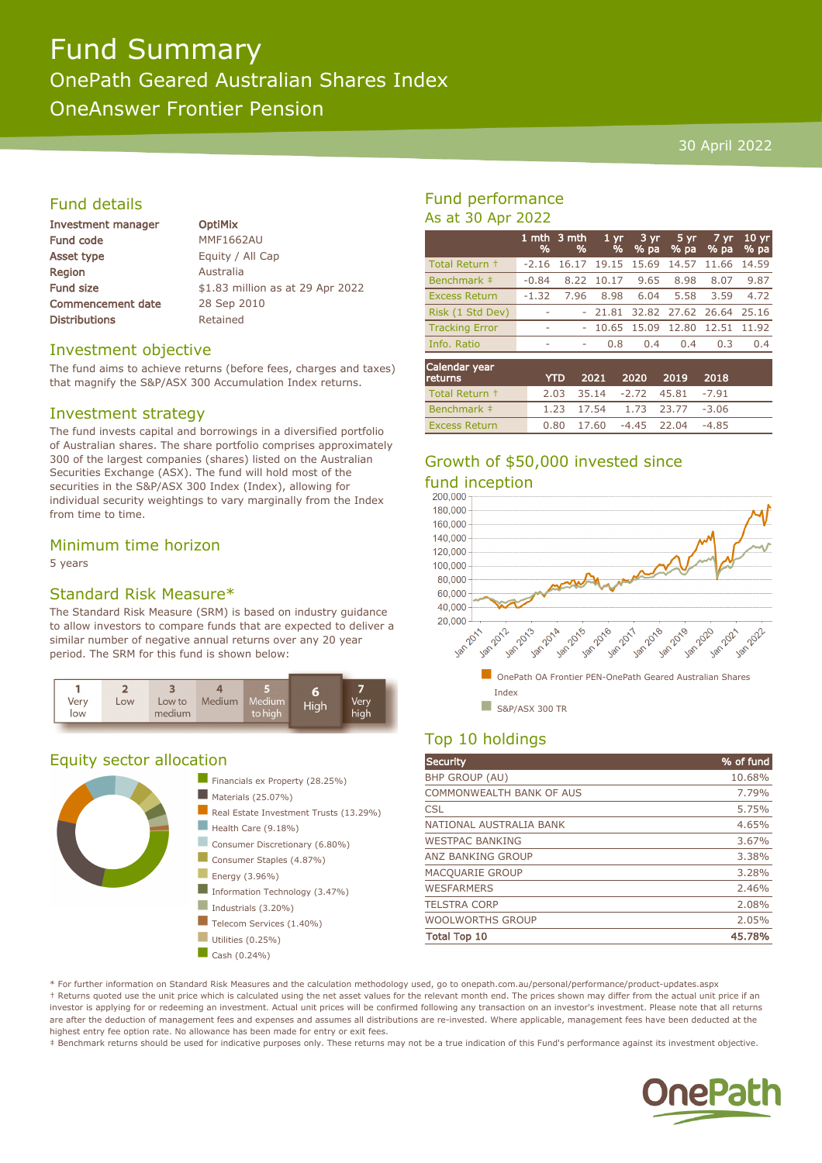# Fund Summary

OnePath Geared Australian Shares Index

OneAnswer Frontier Pension

#### 30 April 2022

#### Fund details

| <b>Investment manager</b> |
|---------------------------|
| <b>Fund code</b>          |
| Asset type                |
| Region                    |
| <b>Fund size</b>          |
| <b>Commencement date</b>  |
| <b>Distributions</b>      |

**OptiMix MMF1662AU** Equity / All Cap **Australia** \$1.83 million as at 29 Apr 2022 28 Sep 2010 Retained

#### Investment objective

The fund aims to achieve returns (before fees, charges and taxes) that magnify the S&P/ASX 300 Accumulation Index returns.

#### Investment strategy

The fund invests capital and borrowings in a diversified portfolio of Australian shares. The share portfolio comprises approximately 300 of the largest companies (shares) listed on the Australian Securities Exchange (ASX). The fund will hold most of the securities in the S&P/ASX 300 Index (Index), allowing for individual security weightings to vary marginally from the Index from time to time.

#### Minimum time horizon

5 years

#### Standard Risk Measure\*

The Standard Risk Measure (SRM) is based on industry guidance to allow investors to compare funds that are expected to deliver a similar number of negative annual returns over any 20 year period. The SRM for this fund is shown below:



#### Equity sector allocation



#### Fund performance As at 30 Apr 2022

|                       | %       | 1 mth $3$ mth<br>% | $1 \, \text{yr}$<br>% | $3 \, yr$<br>$%$ pa     | $5 \, yr$<br>% pa | 7 yr<br>% pa | 10 <sub>yr</sub><br>% pa |
|-----------------------|---------|--------------------|-----------------------|-------------------------|-------------------|--------------|--------------------------|
| Total Return +        | $-2.16$ | 16.17              |                       | 19.15 15.69             | 14.57             | 11.66 14.59  |                          |
| Benchmark ‡           | $-0.84$ |                    | 8.22 10.17            | 9.65                    | 8.98              | 8.07         | 9.87                     |
| <b>Excess Return</b>  | $-1.32$ | 7.96               | 8.98                  | 6.04                    | 5.58              | 3.59         | 4.72                     |
| Risk (1 Std Dev)      |         |                    | $-21.81$              | 32.82 27.62 26.64 25.16 |                   |              |                          |
| <b>Tracking Error</b> | ۰       |                    | 10.65                 | 15.09                   | 12.80             | 12.51        | 11.92                    |
| Info, Ratio           | ۰       | ۰                  | 0.8                   | 0.4                     | 0.4               | 0.3          | 0.4                      |
|                       |         |                    |                       |                         |                   |              |                          |
|                       |         |                    |                       |                         |                   |              |                          |

| Calendar year<br>returns | YTD. |  | 2021 2020 2019 2018                |  |
|--------------------------|------|--|------------------------------------|--|
| Total Return +           |      |  | 2.03 35.14 -2.72 45.81 -7.91       |  |
| Benchmark #              |      |  | 1.23 17.54 1.73 23.77 -3.06        |  |
| <b>Excess Return</b>     |      |  | $0.80$ 17.60 $-4.45$ 22.04 $-4.85$ |  |

### Growth of \$50,000 invested since fund inception<br>200.000



#### Top 10 holdings

| <b>Security</b>          | % of fund |
|--------------------------|-----------|
| <b>BHP GROUP (AU)</b>    | 10.68%    |
| COMMONWEALTH BANK OF AUS | 7.79%     |
| <b>CSL</b>               | 5.75%     |
| NATIONAL AUSTRALIA BANK  | 4.65%     |
| <b>WESTPAC BANKING</b>   | 3.67%     |
| <b>ANZ BANKING GROUP</b> | 3.38%     |
| MACQUARIE GROUP          | 3.28%     |
| <b>WESFARMERS</b>        | 2.46%     |
| <b>TELSTRA CORP</b>      | 2.08%     |
| <b>WOOLWORTHS GROUP</b>  | 2.05%     |
| <b>Total Top 10</b>      | 45.78%    |

\* For further information on Standard Risk Measures and the calculation methodology used, go to onepath.com.au/personal/performance/product-updates.aspx † Returns quoted use the unit price which is calculated using the net asset values for the relevant month end. The prices shown may differ from the actual unit price if an investor is applying for or redeeming an investment. Actual unit prices will be confirmed following any transaction on an investor's investment. Please note that all returns are after the deduction of management fees and expenses and assumes all distributions are re-invested. Where applicable, management fees have been deducted at the highest entry fee option rate. No allowance has been made for entry or exit fees.

‡ Benchmark returns should be used for indicative purposes only. These returns may not be a true indication of this Fund's performance against its investment objective.